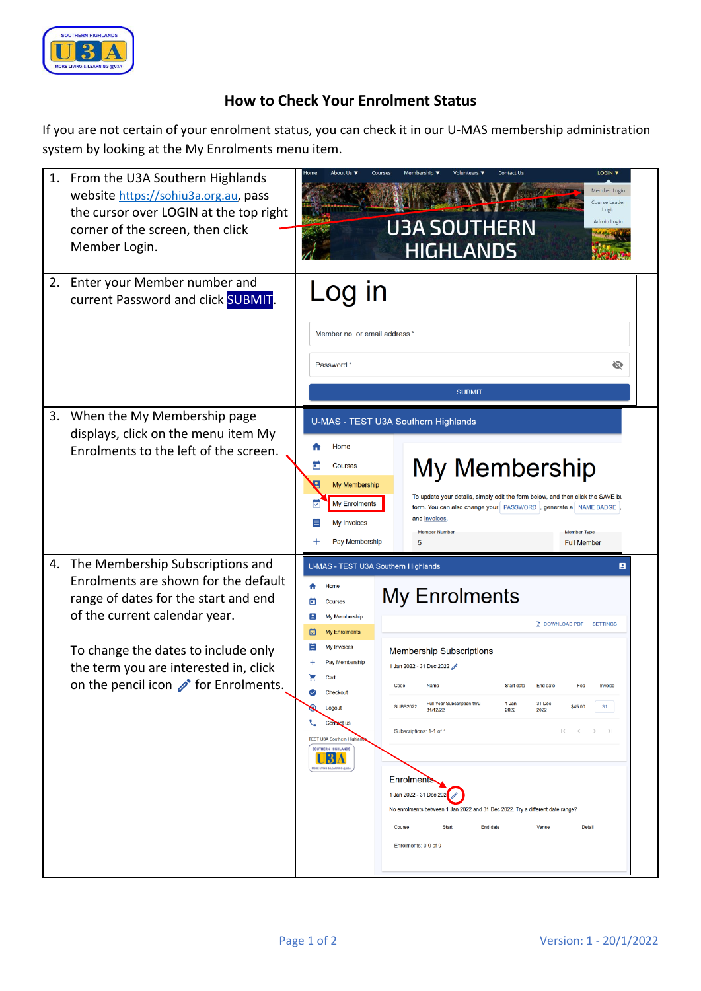

## **How to Check Your Enrolment Status**

If you are not certain of your enrolment status, you can check it in our U-MAS membership administration system by looking at the My Enrolments menu item.

| 1. From the U3A Southern Highlands<br>website https://sohiu3a.org.au, pass<br>the cursor over LOGIN at the top right<br>corner of the screen, then click<br>Member Login.                                                                                                                  | LOGIN V<br><b>Contact Us</b><br>About Us 1<br>Membership <b>v</b><br>⊣om∈<br>Member Login<br>Course Leader<br>Login<br>Admin Login<br><b>U3A SOUTHERN</b><br><b>HIGHLANDS</b>                                                                                                                                                                                                                                                                                                                                                                                                                                                                                                                                                                                                                                                                                                                                                               |
|--------------------------------------------------------------------------------------------------------------------------------------------------------------------------------------------------------------------------------------------------------------------------------------------|---------------------------------------------------------------------------------------------------------------------------------------------------------------------------------------------------------------------------------------------------------------------------------------------------------------------------------------------------------------------------------------------------------------------------------------------------------------------------------------------------------------------------------------------------------------------------------------------------------------------------------------------------------------------------------------------------------------------------------------------------------------------------------------------------------------------------------------------------------------------------------------------------------------------------------------------|
| Enter your Member number and<br>2.<br>current Password and click SUBMIT.                                                                                                                                                                                                                   | Log in<br>Member no. or email address *<br>Ø<br>Password <sup>*</sup><br><b>SUBMIT</b>                                                                                                                                                                                                                                                                                                                                                                                                                                                                                                                                                                                                                                                                                                                                                                                                                                                      |
| When the My Membership page<br>3.<br>displays, click on the menu item My<br>Enrolments to the left of the screen.                                                                                                                                                                          | U-MAS - TEST U3A Southern Highlands<br>Home<br>My Membership<br>o<br><b>Courses</b><br>My Membership<br>To update your details, simply edit the form below, and then click the SAVE b<br><b>My Enrolments</b><br>☑<br>form. You can also change your   PASSWORD  , generate a   NAME BADGE<br>and invoices<br><b>My Invoices</b><br>≣<br><b>Member Numbe</b><br><b>Member Type</b><br>Pay Membership<br>5<br><b>Full Member</b>                                                                                                                                                                                                                                                                                                                                                                                                                                                                                                             |
| The Membership Subscriptions and<br>4.<br>Enrolments are shown for the default<br>range of dates for the start and end<br>of the current calendar year.<br>To change the dates to include only<br>the term you are interested in, click<br>on the pencil icon $\mathcal N$ for Enrolments. | U-MAS - TEST U3A Southern Highlands<br>8<br>Home<br><b>My Enrolments</b><br>c<br><b>Courses</b><br>в<br>My Membership<br>DOWNLOAD PDF SETTINGS<br><b>My Enrolments</b><br>⊡<br>My Invoices<br>⋿<br><b>Membership Subscriptions</b><br>Pay Membership<br>1 Jan 2022 - 31 Dec 2022<br>ਸ਼<br>Cart<br>Code<br>Name<br>Ø<br>Checkout<br>Full Year Subscription thru<br>1 Jan<br>31 Dec<br><b>SUBS2022</b><br>\$45.00<br>31<br>$\omega$<br>Logout<br>31/12/22<br>2022<br>2022<br>Contact us<br>Subscriptions: 1-1 of 1<br>$\begin{array}{ccccccc}\n\mid & & & & \swarrow & & & \searrow & & \searrow\n\end{array}$<br><b>TEST U3A Southern High</b><br>SOUTHERN HIGHLANDS<br><u> 13 A</u><br>ORE LIVING & LEARNING @ U3.<br><b>Enrolments</b><br>1 Jan 2022 - 31 Dec 202<br>No enrolments between 1 Jan 2022 and 31 Dec 2022. Try a different date range?<br>Course<br><b>Start</b><br>End date<br>Venue<br><b>Detail</b><br>Enrolments: 0-0 of 0 |